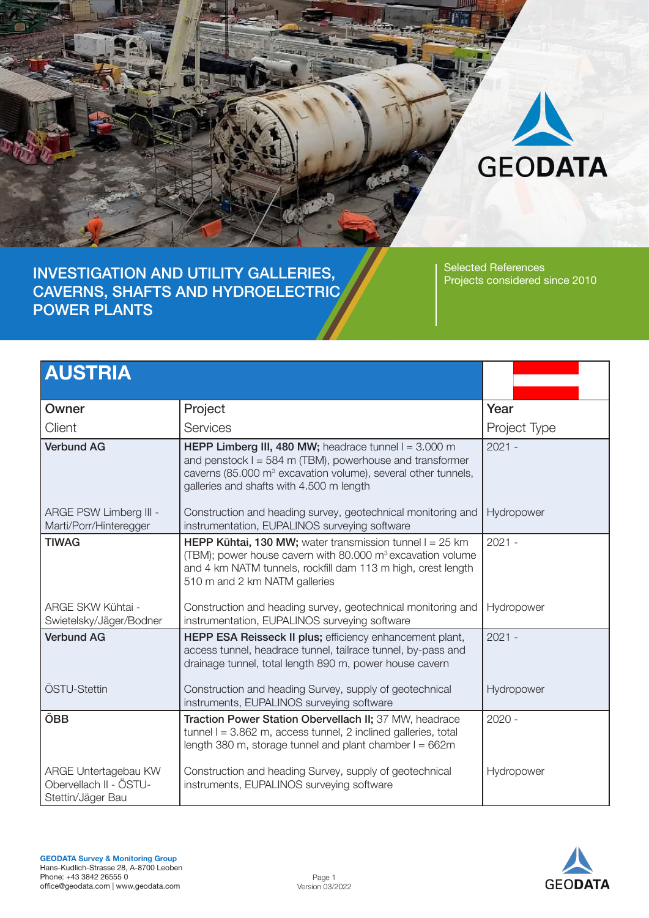

INVESTIGATION AND UTILITY GALLERIES, CAVERNS, SHAFTS AND HYDROELECTRIC POWER PLANTS

Selected References Projects considered since 2010

| <b>AUSTRIA</b>                                                      |                                                                                                                                                                                                                                                |              |
|---------------------------------------------------------------------|------------------------------------------------------------------------------------------------------------------------------------------------------------------------------------------------------------------------------------------------|--------------|
| Owner                                                               | Project                                                                                                                                                                                                                                        | Year         |
| Client                                                              | <b>Services</b>                                                                                                                                                                                                                                | Project Type |
| <b>Verbund AG</b>                                                   | HEPP Limberg III, 480 MW; headrace tunnel $I = 3.000$ m<br>and penstock $I = 584$ m (TBM), powerhouse and transformer<br>caverns (85.000 m <sup>3</sup> excavation volume), several other tunnels,<br>galleries and shafts with 4.500 m length | $2021 -$     |
| ARGE PSW Limberg III -<br>Marti/Porr/Hinteregger                    | Construction and heading survey, geotechnical monitoring and<br>instrumentation, EUPALINOS surveying software                                                                                                                                  | Hydropower   |
| <b>TIWAG</b>                                                        | <b>HEPP Kühtai, 130 MW;</b> water transmission tunnel $I = 25$ km<br>(TBM); power house cavern with 80.000 m <sup>3</sup> excavation volume<br>and 4 km NATM tunnels, rockfill dam 113 m high, crest length<br>510 m and 2 km NATM galleries   | $2021 -$     |
| ARGE SKW Kühtai -<br>Swietelsky/Jäger/Bodner                        | Construction and heading survey, geotechnical monitoring and<br>instrumentation, EUPALINOS surveying software                                                                                                                                  | Hydropower   |
| <b>Verbund AG</b>                                                   | HEPP ESA Reisseck II plus; efficiency enhancement plant,<br>access tunnel, headrace tunnel, tailrace tunnel, by-pass and<br>drainage tunnel, total length 890 m, power house cavern                                                            | $2021 -$     |
| ÖSTU-Stettin                                                        | Construction and heading Survey, supply of geotechnical<br>instruments, EUPALINOS surveying software                                                                                                                                           | Hydropower   |
| ÖBB                                                                 | Traction Power Station Obervellach II; 37 MW, headrace<br>tunnel $l = 3.862$ m, access tunnel, 2 inclined galleries, total<br>length 380 m, storage tunnel and plant chamber $I = 662m$                                                        | $2020 -$     |
| ARGE Untertagebau KW<br>Obervellach II - ÖSTU-<br>Stettin/Jäger Bau | Construction and heading Survey, supply of geotechnical<br>instruments, EUPALINOS surveying software                                                                                                                                           | Hydropower   |

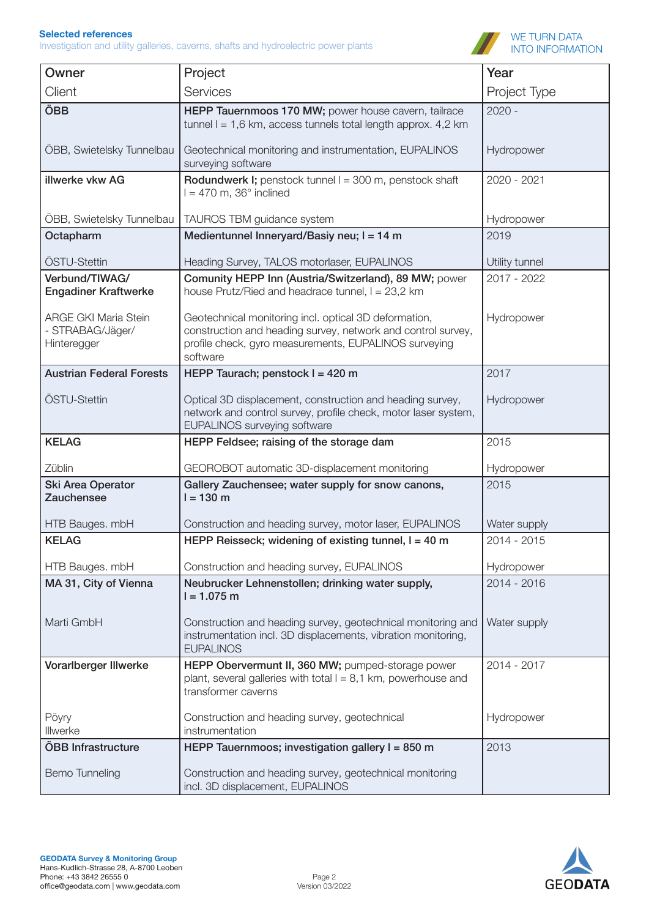

| Owner                                                          | Project                                                                                                                                                                                    | Year           |
|----------------------------------------------------------------|--------------------------------------------------------------------------------------------------------------------------------------------------------------------------------------------|----------------|
| Client                                                         | Services                                                                                                                                                                                   | Project Type   |
| ÖBB                                                            | HEPP Tauernmoos 170 MW; power house cavern, tailrace<br>tunnel $I = 1,6$ km, access tunnels total length approx. 4,2 km                                                                    | $2020 -$       |
| ÖBB, Swietelsky Tunnelbau                                      | Geotechnical monitoring and instrumentation, EUPALINOS<br>surveying software                                                                                                               | Hydropower     |
| illwerke vkw AG                                                | <b>Rodundwerk I;</b> penstock tunnel I = 300 m, penstock shaft<br>$= 470$ m, 36 $^{\circ}$ inclined                                                                                        | 2020 - 2021    |
| ÖBB, Swietelsky Tunnelbau                                      | TAUROS TBM guidance system                                                                                                                                                                 | Hydropower     |
| Octapharm                                                      | Medientunnel Inneryard/Basiy neu; I = 14 m                                                                                                                                                 | 2019           |
| ÖSTU-Stettin                                                   | Heading Survey, TALOS motorlaser, EUPALINOS                                                                                                                                                | Utility tunnel |
| Verbund/TIWAG/<br><b>Engadiner Kraftwerke</b>                  | Comunity HEPP Inn (Austria/Switzerland), 89 MW; power<br>house Prutz/Ried and headrace tunnel, $I = 23,2$ km                                                                               | 2017 - 2022    |
| <b>ARGE GKI Maria Stein</b><br>- STRABAG/Jäger/<br>Hinteregger | Geotechnical monitoring incl. optical 3D deformation,<br>construction and heading survey, network and control survey,<br>profile check, gyro measurements, EUPALINOS surveying<br>software | Hydropower     |
| <b>Austrian Federal Forests</b>                                | HEPP Taurach; penstock I = 420 m                                                                                                                                                           | 2017           |
| ÖSTU-Stettin                                                   | Optical 3D displacement, construction and heading survey,<br>network and control survey, profile check, motor laser system,<br>EUPALINOS surveying software                                | Hydropower     |
| <b>KELAG</b>                                                   | HEPP Feldsee; raising of the storage dam                                                                                                                                                   | 2015           |
| Züblin                                                         | GEOROBOT automatic 3D-displacement monitoring                                                                                                                                              | Hydropower     |
| Ski Area Operator<br>Zauchensee                                | Gallery Zauchensee; water supply for snow canons,<br>$l = 130 m$                                                                                                                           | 2015           |
| HTB Bauges. mbH                                                | Construction and heading survey, motor laser, EUPALINOS                                                                                                                                    | Water supply   |
| <b>KELAG</b>                                                   | HEPP Reisseck; widening of existing tunnel, I = 40 m                                                                                                                                       | 2014 - 2015    |
| HTB Bauges. mbH                                                | Construction and heading survey, EUPALINOS                                                                                                                                                 | Hydropower     |
| MA 31, City of Vienna                                          | Neubrucker Lehnenstollen; drinking water supply,<br>$l = 1.075$ m                                                                                                                          | 2014 - 2016    |
| Marti GmbH                                                     | Construction and heading survey, geotechnical monitoring and<br>instrumentation incl. 3D displacements, vibration monitoring,<br><b>EUPALINOS</b>                                          | Water supply   |
| Vorarlberger Illwerke                                          | HEPP Obervermunt II, 360 MW; pumped-storage power<br>plant, several galleries with total $I = 8,1$ km, powerhouse and<br>transformer caverns                                               | 2014 - 2017    |
| Pöyry<br>Illwerke                                              | Construction and heading survey, geotechnical<br>instrumentation                                                                                                                           | Hydropower     |
| ÖBB Infrastructure                                             | HEPP Tauernmoos; investigation gallery $I = 850$ m                                                                                                                                         | 2013           |
| <b>Bemo Tunneling</b>                                          | Construction and heading survey, geotechnical monitoring<br>incl. 3D displacement, EUPALINOS                                                                                               |                |

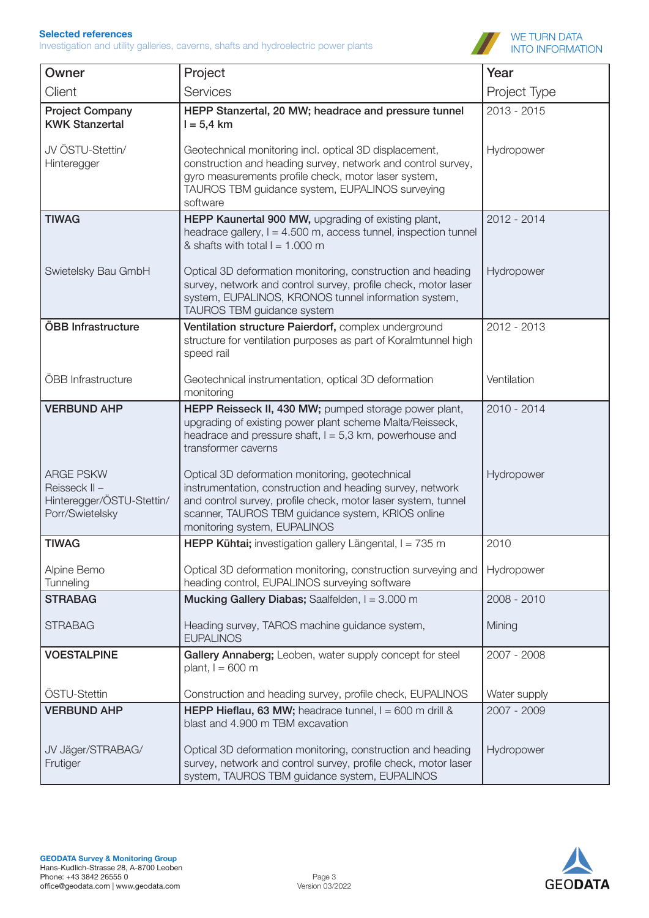

| Owner                                                                             | Project                                                                                                                                                                                                                                                            | Year         |
|-----------------------------------------------------------------------------------|--------------------------------------------------------------------------------------------------------------------------------------------------------------------------------------------------------------------------------------------------------------------|--------------|
| Client                                                                            | Services                                                                                                                                                                                                                                                           | Project Type |
| <b>Project Company</b><br><b>KWK Stanzertal</b>                                   | HEPP Stanzertal, 20 MW; headrace and pressure tunnel<br>$I = 5,4$ km                                                                                                                                                                                               | 2013 - 2015  |
| JV ÖSTU-Stettin/<br>Hinteregger                                                   | Geotechnical monitoring incl. optical 3D displacement,<br>construction and heading survey, network and control survey,<br>gyro measurements profile check, motor laser system,<br>TAUROS TBM guidance system, EUPALINOS surveying<br>software                      | Hydropower   |
| <b>TIWAG</b>                                                                      | HEPP Kaunertal 900 MW, upgrading of existing plant,<br>headrace gallery, I = 4.500 m, access tunnel, inspection tunnel<br>& shafts with total $l = 1.000$ m                                                                                                        | 2012 - 2014  |
| Swietelsky Bau GmbH                                                               | Optical 3D deformation monitoring, construction and heading<br>survey, network and control survey, profile check, motor laser<br>system, EUPALINOS, KRONOS tunnel information system,<br>TAUROS TBM guidance system                                                | Hydropower   |
| ÖBB Infrastructure                                                                | Ventilation structure Paierdorf, complex underground<br>structure for ventilation purposes as part of Koralmtunnel high<br>speed rail                                                                                                                              | 2012 - 2013  |
| ÖBB Infrastructure                                                                | Geotechnical instrumentation, optical 3D deformation<br>monitoring                                                                                                                                                                                                 | Ventilation  |
| <b>VERBUND AHP</b>                                                                | HEPP Reisseck II, 430 MW; pumped storage power plant,<br>upgrading of existing power plant scheme Malta/Reisseck,<br>headrace and pressure shaft, $I = 5.3$ km, powerhouse and<br>transformer caverns                                                              | 2010 - 2014  |
| <b>ARGE PSKW</b><br>Reisseck II -<br>Hinteregger/ÖSTU-Stettin/<br>Porr/Swietelsky | Optical 3D deformation monitoring, geotechnical<br>instrumentation, construction and heading survey, network<br>and control survey, profile check, motor laser system, tunnel<br>scanner, TAUROS TBM guidance system, KRIOS online<br>monitoring system, EUPALINOS | Hydropower   |
| <b>TIWAG</b>                                                                      | HEPP Kühtai; investigation gallery Längental, I = 735 m                                                                                                                                                                                                            | 2010         |
| Alpine Bemo<br>Tunneling                                                          | Optical 3D deformation monitoring, construction surveying and<br>heading control, EUPALINOS surveying software                                                                                                                                                     | Hydropower   |
| <b>STRABAG</b>                                                                    | Mucking Gallery Diabas; Saalfelden, I = 3.000 m                                                                                                                                                                                                                    | 2008 - 2010  |
| <b>STRABAG</b>                                                                    | Heading survey, TAROS machine guidance system,<br><b>EUPALINOS</b>                                                                                                                                                                                                 | Mining       |
| <b>VOESTALPINE</b>                                                                | Gallery Annaberg; Leoben, water supply concept for steel<br>plant, $l = 600$ m                                                                                                                                                                                     | 2007 - 2008  |
| ÖSTU-Stettin                                                                      | Construction and heading survey, profile check, EUPALINOS                                                                                                                                                                                                          | Water supply |
| <b>VERBUND AHP</b>                                                                | <b>HEPP Hieflau, 63 MW;</b> headrace tunnel, $I = 600$ m drill &<br>blast and 4.900 m TBM excavation                                                                                                                                                               | 2007 - 2009  |
| JV Jäger/STRABAG/<br>Frutiger                                                     | Optical 3D deformation monitoring, construction and heading<br>survey, network and control survey, profile check, motor laser<br>system, TAUROS TBM guidance system, EUPALINOS                                                                                     | Hydropower   |

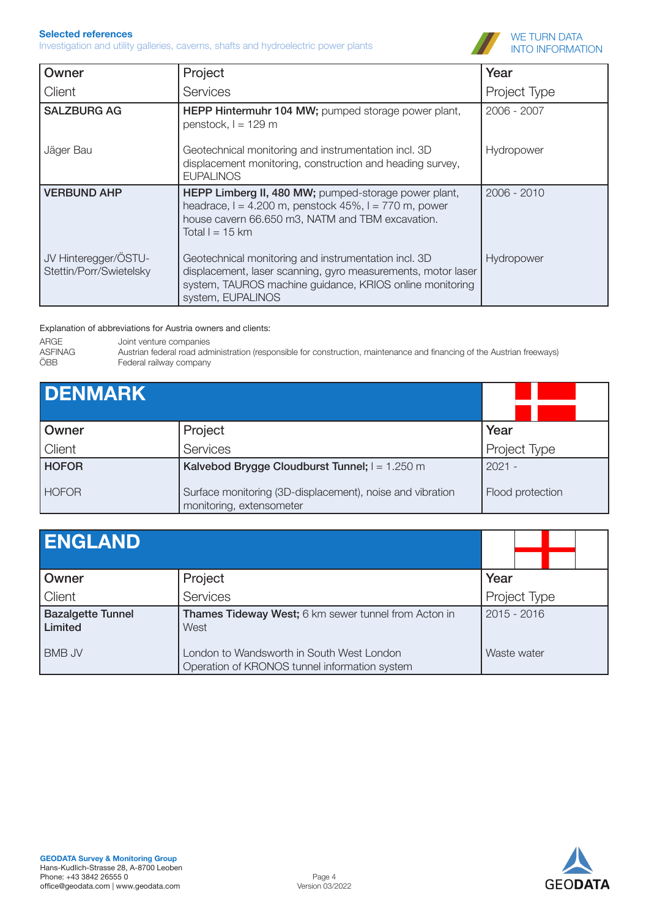Investigation and utility galleries, caverns, shafts and hydroelectric power plants



| Owner                                           | Project                                                                                                                                                                                               | Year         |
|-------------------------------------------------|-------------------------------------------------------------------------------------------------------------------------------------------------------------------------------------------------------|--------------|
| Client                                          | <b>Services</b>                                                                                                                                                                                       | Project Type |
| <b>SALZBURG AG</b>                              | HEPP Hintermuhr 104 MW; pumped storage power plant,<br>penstock, $l = 129$ m                                                                                                                          | 2006 - 2007  |
| Jäger Bau                                       | Geotechnical monitoring and instrumentation incl. 3D<br>displacement monitoring, construction and heading survey,<br><b>EUPALINOS</b>                                                                 | Hydropower   |
| <b>VERBUND AHP</b>                              | HEPP Limberg II, 480 MW; pumped-storage power plant,<br>headrace, $l = 4.200$ m, penstock $45\%$ , $l = 770$ m, power<br>house cavern 66.650 m3, NATM and TBM excavation.<br>Total $l = 15$ km        | 2006 - 2010  |
| JV Hinteregger/ÖSTU-<br>Stettin/Porr/Swietelsky | Geotechnical monitoring and instrumentation incl. 3D<br>displacement, laser scanning, gyro measurements, motor laser<br>system, TAUROS machine guidance, KRIOS online monitoring<br>system, EUPALINOS | Hydropower   |

#### Explanation of abbreviations for Austria owners and clients:

ARGE Joint venture companies<br>ASFINAG Austrian federal road adn ASFINAG Austrian federal road administration (responsible for construction, maintenance and financing of the Austrian freeways)<br>
ÖBB Federal railway company

| <b>DENMARK</b> |                                                                                       |                  |
|----------------|---------------------------------------------------------------------------------------|------------------|
| Owner          | Project                                                                               | Year             |
| Client         | Services                                                                              | Project Type     |
| <b>HOFOR</b>   | Kalvebod Brygge Cloudburst Tunnel; I = 1.250 m                                        | $2021 -$         |
| <b>HOFOR</b>   | Surface monitoring (3D-displacement), noise and vibration<br>monitoring, extensometer | Flood protection |

| <b>IENGLAND</b>                     |                                                                                            |               |
|-------------------------------------|--------------------------------------------------------------------------------------------|---------------|
| Owner                               | Project                                                                                    | Year          |
| Client                              | Services                                                                                   | Project Type  |
| <b>Bazalgette Tunnel</b><br>Limited | Thames Tideway West; 6 km sewer tunnel from Acton in<br>West                               | $2015 - 2016$ |
| <b>BMB JV</b>                       | London to Wandsworth in South West London<br>Operation of KRONOS tunnel information system | Waste water   |

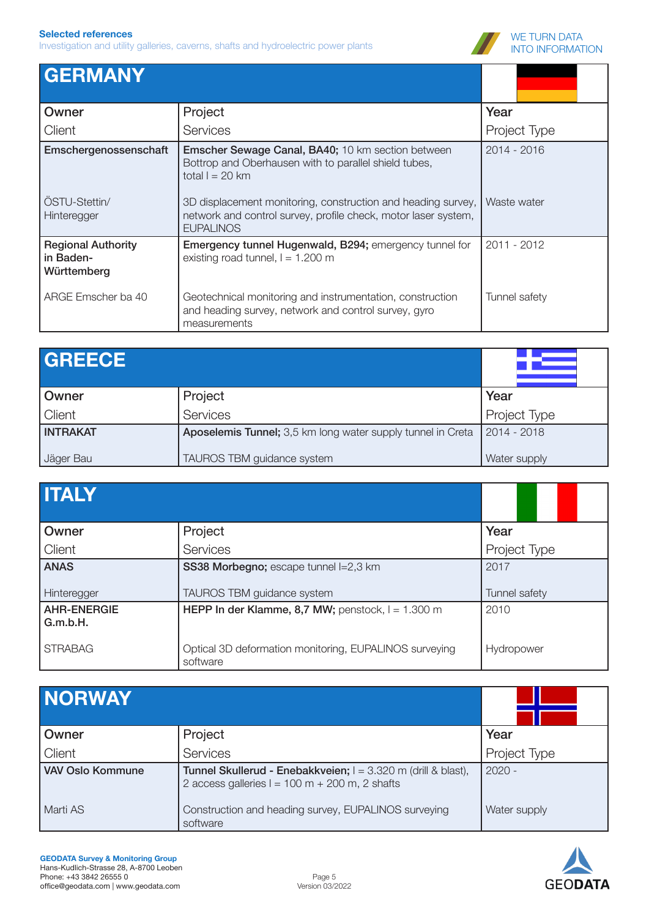

| <b>GERMANY</b>                                        |                                                                                                                                                    |               |
|-------------------------------------------------------|----------------------------------------------------------------------------------------------------------------------------------------------------|---------------|
| Owner                                                 | Project                                                                                                                                            | Year          |
| Client                                                | <b>Services</b>                                                                                                                                    | Project Type  |
| Emschergenossenschaft                                 | <b>Emscher Sewage Canal, BA40; 10 km section between</b><br>Bottrop and Oberhausen with to parallel shield tubes,<br>total $l = 20$ km             | 2014 - 2016   |
| OSTU-Stettin/<br>Hinteregger                          | 3D displacement monitoring, construction and heading survey,<br>network and control survey, profile check, motor laser system,<br><b>EUPALINOS</b> | Waste water   |
| <b>Regional Authority</b><br>in Baden-<br>Württemberg | Emergency tunnel Hugenwald, B294; emergency tunnel for<br>existing road tunnel, $l = 1.200$ m                                                      | 2011 - 2012   |
| ARGE Emscher ba 40                                    | Geotechnical monitoring and instrumentation, construction<br>and heading survey, network and control survey, gyro<br>measurements                  | Tunnel safety |

| <b>GREECE</b>   |                                                             |                |
|-----------------|-------------------------------------------------------------|----------------|
| Owner           | Project                                                     | Year           |
| Client          | Services                                                    | Project Type   |
| <b>INTRAKAT</b> | Aposelemis Tunnel; 3,5 km long water supply tunnel in Creta | $12014 - 2018$ |
| Jäger Bau       | TAUROS TBM guidance system                                  | Water supply   |

| <b>ITALY</b>                   |                                                                    |               |
|--------------------------------|--------------------------------------------------------------------|---------------|
| Owner                          | Project                                                            | Year          |
| Client                         | Services                                                           | Project Type  |
| <b>ANAS</b>                    | SS38 Morbegno; escape tunnel I=2,3 km                              | 2017          |
| Hinteregger                    | TAUROS TBM guidance system                                         | Tunnel safety |
| <b>AHR-ENERGIE</b><br>G.m.b.H. | HEPP In der Klamme, 8,7 MW; penstock, $l = 1.300$ m                | 2010          |
| <b>STRABAG</b>                 | Optical 3D deformation monitoring, EUPALINOS surveying<br>software | Hydropower    |

| <b>INORWAY</b>          |                                                                                                                    |              |
|-------------------------|--------------------------------------------------------------------------------------------------------------------|--------------|
| Owner                   | Project                                                                                                            | Year         |
| Client                  | Services                                                                                                           | Project Type |
| <b>VAV Oslo Kommune</b> | Tunnel Skullerud - Enebakkveien; I = 3.320 m (drill & blast),<br>2 access galleries $l = 100 m + 200 m$ , 2 shafts | $2020 -$     |
| Marti AS                | Construction and heading survey, EUPALINOS surveying<br>software                                                   | Water supply |

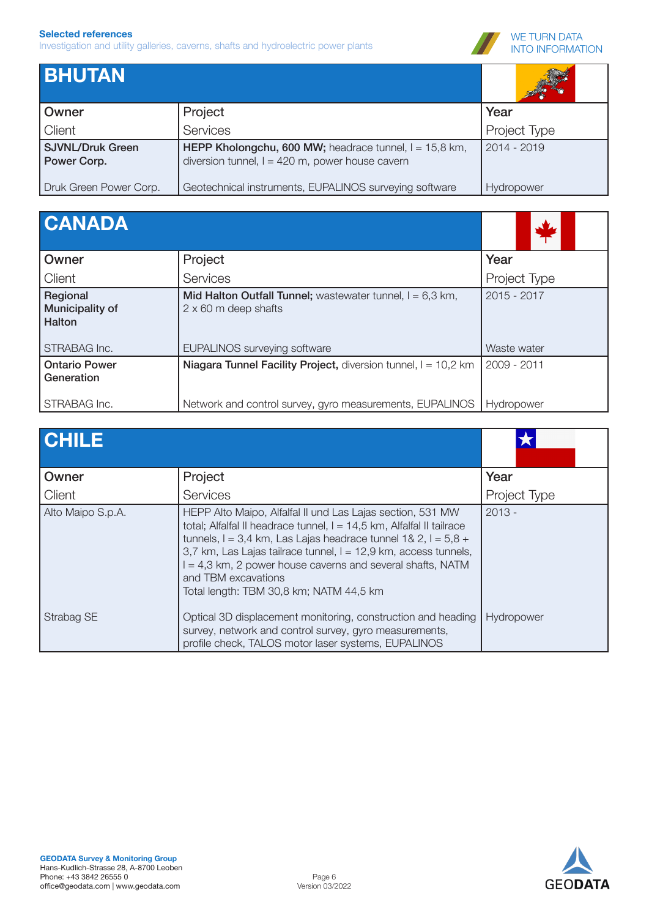

| <b>BHUTAN</b>                          |                                                                                                               |                   |
|----------------------------------------|---------------------------------------------------------------------------------------------------------------|-------------------|
| <b>Owner</b>                           | Project                                                                                                       | Year              |
| Client                                 | Services                                                                                                      | Project Type      |
| <b>SJVNL/Druk Green</b><br>Power Corp. | HEPP Kholongchu, 600 MW; headrace tunnel, $I = 15,8$ km,<br>diversion tunnel, $l = 420$ m, power house cavern | 2014 - 2019       |
| Druk Green Power Corp.                 | Geotechnical instruments, EUPALINOS surveying software                                                        | <b>Hydropower</b> |

| <b>CANADA</b>                                                |                                                                                                                                   |                            |
|--------------------------------------------------------------|-----------------------------------------------------------------------------------------------------------------------------------|----------------------------|
| Owner                                                        | Project                                                                                                                           | Year                       |
| Client                                                       | Services                                                                                                                          | Project Type               |
| Regional<br>Municipality of<br><b>Halton</b><br>STRABAG Inc. | Mid Halton Outfall Tunnel; wastewater tunnel, $I = 6.3$ km,<br>$2 \times 60$ m deep shafts<br><b>EUPALINOS surveying software</b> | 2015 - 2017<br>Waste water |
| <b>Ontario Power</b><br>Generation                           | Niagara Tunnel Facility Project, diversion tunnel, I = 10,2 km                                                                    | 2009 - 2011                |
| STRABAG Inc.                                                 | Network and control survey, gyro measurements, EUPALINOS                                                                          | Hydropower                 |

| <b>CHILE</b>      |                                                                                                                                                                                                                                                                                                                                                                                                              |              |
|-------------------|--------------------------------------------------------------------------------------------------------------------------------------------------------------------------------------------------------------------------------------------------------------------------------------------------------------------------------------------------------------------------------------------------------------|--------------|
| Owner             | Project                                                                                                                                                                                                                                                                                                                                                                                                      | Year         |
| Client            | Services                                                                                                                                                                                                                                                                                                                                                                                                     | Project Type |
| Alto Maipo S.p.A. | HEPP Alto Maipo, Alfalfal II und Las Lajas section, 531 MW<br>total; Alfalfal II headrace tunnel, I = 14,5 km, Alfalfal II tailrace<br>tunnels, I = 3,4 km, Las Lajas headrace tunnel 1& 2, I = $5,8 +$<br>3,7 km, Las Lajas tailrace tunnel, I = 12,9 km, access tunnels,<br>$I = 4.3$ km, 2 power house caverns and several shafts, NATM<br>and TBM excavations<br>Total length: TBM 30,8 km; NATM 44,5 km | $2013 -$     |
| Strabag SE        | Optical 3D displacement monitoring, construction and heading<br>survey, network and control survey, gyro measurements,<br>profile check, TALOS motor laser systems, EUPALINOS                                                                                                                                                                                                                                | Hydropower   |